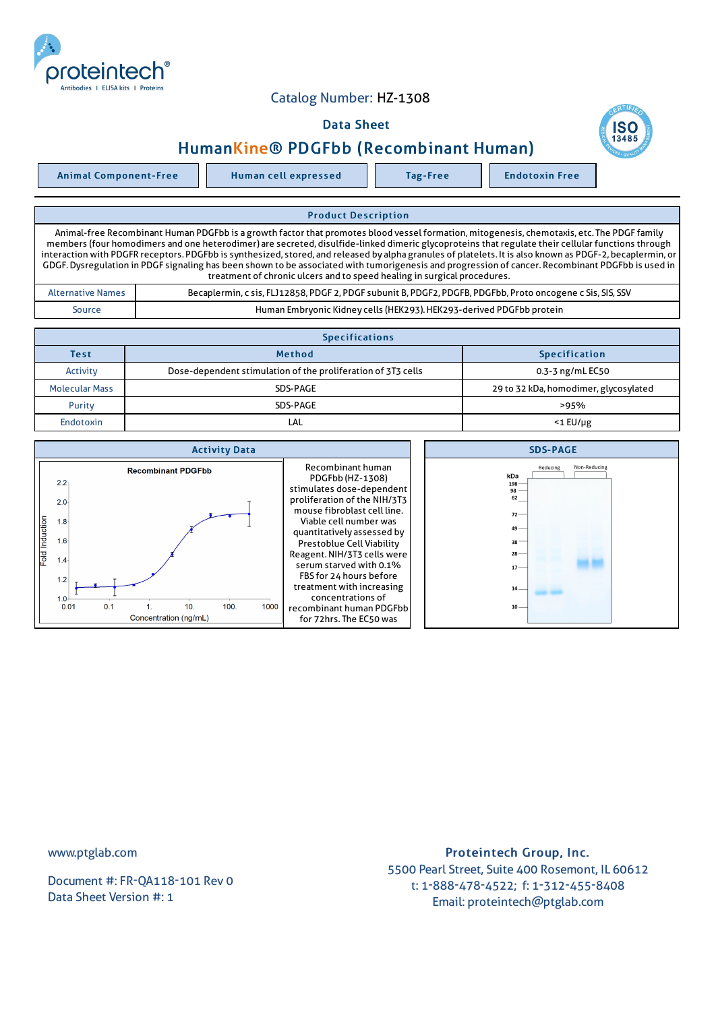

## Catalog Number: HZ-1308

## Data Sheet



Animal Component-Free Human cell expressed Tag-Free Tag Endotoxin Free

Product Description Animal-free Recombinant Human PDGFbb is a growth factor that promotes blood vessel formation, mitogenesis, chemotaxis, etc. The PDGF family members (four homodimers and one heterodimer) are secreted, disulfide-linked dimeric glycoproteins that regulate their cellular functions through interaction with PDGFR receptors. PDGFbb is synthesized, stored, and released by alpha granules of platelets. It is also known as PDGF-2, becaplermin, or GDGF.Dysregulation in PDGF signaling has been shown to be associated with tumorigenesis and progression of cancer. Recombinant PDGFbb is used in treatment of chronic ulcers and to speed healing in surgical procedures. Alternative Names Becaplermin, c sis, FLJ12858, PDGF 2, PDGF subunit B, PDGF2, PDGFB, PDGFbb, Proto oncogene c Sis, SIS, SSV

Source **Human Embryonic Kidney cells (HEK293). HEK293-derived PDGFbb protein** 

| <b>Specifications</b>   |                                                              |                                       |  |  |  |
|-------------------------|--------------------------------------------------------------|---------------------------------------|--|--|--|
| <b>Test</b>             | <b>Method</b>                                                | <b>Specification</b>                  |  |  |  |
| Activity                | Dose-dependent stimulation of the proliferation of 3T3 cells | 0.3-3 ng/mL EC50                      |  |  |  |
| <b>Molecular Mass</b>   | SDS-PAGE                                                     | 29 to 32 kDa, homodimer, glycosylated |  |  |  |
| Purity                  | SDS-PAGE                                                     | >95%                                  |  |  |  |
| <b>Endotoxin</b><br>LAL |                                                              | $<$ 1 $E$ U/µg                        |  |  |  |

| <b>Activity Data</b>                                                                                                                                                                                                          | <b>SDS-PAGE</b>                                                                                                                                                                                                                                                                                                                                                                                                      |                                                                                                                                 |
|-------------------------------------------------------------------------------------------------------------------------------------------------------------------------------------------------------------------------------|----------------------------------------------------------------------------------------------------------------------------------------------------------------------------------------------------------------------------------------------------------------------------------------------------------------------------------------------------------------------------------------------------------------------|---------------------------------------------------------------------------------------------------------------------------------|
| <b>Recombinant PDGFbb</b><br>$2.2 -$<br>$2.0 -$<br>Fold Induction<br>1.8 <sup>5</sup><br>1.6 <sup>°</sup><br>1.4 <sub>1</sub><br>$1.2 -$<br>$1.0 +$<br>100<br>0.1<br>0.01<br>10 <sub>1</sub><br>1000<br>Concentration (ng/mL) | Recombinant human<br>PDGFbb (HZ-1308)<br>stimulates dose-dependent<br>proliferation of the NIH/3T3<br>mouse fibroblast cell line.<br>Viable cell number was<br>quantitatively assessed by<br>Prestoblue Cell Viability<br>Reagent. NIH/3T3 cells were<br>serum starved with 0.1%<br>FBS for 24 hours before<br>treatment with increasing<br>concentrations of<br>recombinant human PDGFbb<br>for 72hrs. The EC50 was | Non-Reducing<br>Reducing<br>kDa<br>$198 -$<br>$98 -$<br>62<br>$72 -$<br>$49 -$<br>$38 -$<br>$28 -$<br>$17 -$<br>$14-$<br>$10 -$ |

www.ptglab.com

Document #: FR-QA118-101 Rev 0 Data Sheet Version #: 1

## Proteintech Group, Inc. 5500 Pearl Street, Suite 400 Rosemont, IL 60612 t: 1-888-478-4522; f: 1-312-455-8408 Email: proteintech@ptglab.com